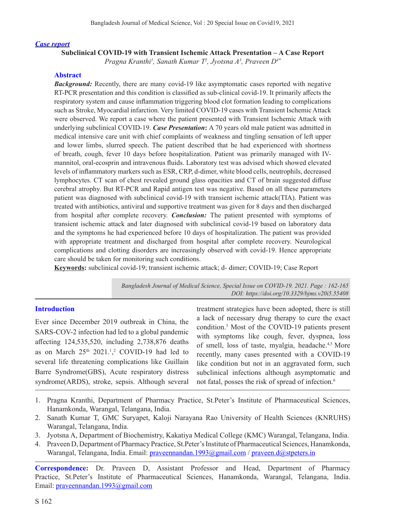#### *Case report*

**Subclinical COVID-19 with Transient Ischemic Attack Presentation – A Case Report**

*Pragna Kranthi1 , Sanath Kumar T2 , Jyotsna A3 , Praveen D4\**

### **Abstract**

**Background:** Recently, there are many covid-19 like asymptomatic cases reported with negative RT-PCR presentation and this condition is classified as sub-clinical covid-19. It primarily affects the respiratory system and cause inflammation triggering blood clot formation leading to complications such as Stroke, Myocardial infarction. Very limited COVID-19 cases with Transient Ischemic Attack were observed. We report a case where the patient presented with Transient Ischemic Attack with underlying subclinical COVID-19. *Case Presentation***:** A 70 years old male patient was admitted in medical intensive care unit with chief complaints of weakness and tingling sensation of left upper and lower limbs, slurred speech. The patient described that he had experienced with shortness of breath, cough, fever 10 days before hospitalization. Patient was primarily managed with IVmannitol, oral-ecosprin and intravenous fluids. Laboratory test was advised which showed elevated levels of inflammatory markers such as ESR, CRP, d-dimer, white blood cells, neutrophils, decreased lymphocytes. CT scan of chest revealed ground glass opacities and CT of brain suggested diffuse cerebral atrophy. But RT-PCR and Rapid antigen test was negative. Based on all these parameters patient was diagnosed with subclinical covid-19 with transient ischemic attack(TIA). Patient was treated with antibiotics, antiviral and supportive treatment was given for 8 days and then discharged from hospital after complete recovery. *Conclusion:* The patient presented with symptoms of transient ischemic attack and later diagnosed with subclinical covid-19 based on laboratory data and the symptoms he had experienced before 10 days of hospitalization. The patient was provided with appropriate treatment and discharged from hospital after complete recovery. Neurological complications and clotting disorders are increasingly observed with covid-19. Hence appropriate care should be taken for monitoring such conditions.

**Keywords:** subclinical covid-19; transient ischemic attack; d- dimer; COVID-19; Case Report

*Bangladesh Journal of Medical Science, Special Issue on COVID-19. 2021. Page : 162-165 DOI: https://doi.org/10.3329/bjms.v20i5.55408* 

### **Introduction**

Ever since December 2019 outbreak in China, the SARS-COV-2 infection had led to a global pandemic affecting 124,535,520, including 2,738,876 deaths as on March  $25<sup>th</sup> 2021<sup>1,2</sup>$  COVID-19 had led to several life threatening complications like Guillain Barre Syndrome(GBS), Acute respiratory distress syndrome(ARDS), stroke, sepsis. Although several

treatment strategies have been adopted, there is still a lack of necessary drug therapy to cure the exact condition.3 Most of the COVID-19 patients present with symptoms like cough, fever, dyspnea, loss of smell, loss of taste, myalgia, headache.<sup>4,5</sup> More recently, many cases presented with a COVID-19 like condition but not in an aggravated form, such subclinical infections although asymptomatic and not fatal, posses the risk of spread of infection.<sup>6</sup>

- 1. Pragna Kranthi, Department of Pharmacy Practice, St.Peter's Institute of Pharmaceutical Sciences, Hanamkonda, Warangal, Telangana, India.
- 2. Sanath Kumar T, GMC Suryapet, Kaloji Narayana Rao University of Health Sciences (KNRUHS) Warangal, Telangana, India.
- 3. Jyotsna A, Department of Biochemistry, Kakatiya Medical College (KMC) Warangal, Telangana, India.
- 4. Praveen D, Department of Pharmacy Practice, St.Peter's Institute of Pharmaceutical Sciences, Hanamkonda, Warangal, Telangana, India. Email: praveennandan.1993@gmail.com / praveen.d@stpeters.in

**Correspondence:** Dr. Praveen D, Assistant Professor and Head, Department of Pharmacy Practice, St.Peter's Institute of Pharmaceutical Sciences, Hanamkonda, Warangal, Telangana, India. Email: praveennandan.1993@gmail.com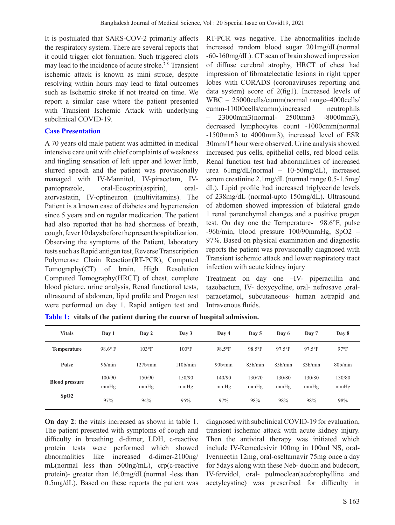It is postulated that SARS-COV-2 primarily affects the respiratory system. There are several reports that it could trigger clot formation. Such triggered clots may lead to the incidence of acute stroke.7,8 Transient ischemic attack is known as mini stroke, despite resolving within hours may lead to fatal outcomes such as Ischemic stroke if not treated on time. We report a similar case where the patient presented with Transient Ischemic Attack with underlying subclinical COVID-19.

## **Case Presentation**

A 70 years old male patient was admitted in medical intensive care unit with chief complaints of weakness and tingling sensation of left upper and lower limb, slurred speech and the patient was provisionally managed with IV-Mannitol, IV-piracetam, IVpantoprazole, oral-Ecosprin(aspirin), oralatorvastatin, IV-optineuron (multivitamins). The Patient is a known case of diabetes and hypertension since 5 years and on regular medication. The patient had also reported that he had shortness of breath, cough, fever 10 days before the present hospitalization. Observing the symptoms of the Patient, laboratory tests such as Rapid antigen test, Reverse Transcription Polymerase Chain Reaction(RT-PCR), Computed Tomography(CT) of brain, High Resolution Computed Tomography(HRCT) of chest, complete blood picture, urine analysis, Renal functional tests, ultrasound of abdomen, lipid profile and Progen test were performed on day 1. Rapid antigen test and

RT-PCR was negative. The abnormalities include increased random blood sugar 201mg/dL(normal -60-160mg/dL). CT scan of brain showed impression of diffuse cerebral atrophy, HRCT of chest had impression of fibroatelectatic lesions in right upper lobes with CORADS (coronaviruses reporting and data system) score of 2(fig1). Increased levels of WBC – 25000cells/cumm(normal range–4000cells/ cumm-11000cells/cumm),increased neutrophils – 23000mm3(normal- 2500mm3 -8000mm3), decreased lymphocytes count -1000cmm(normal -1500mm3 to 4000mm3), increased level of ESR 30mm/1st hour were observed. Urine analysis showed increased pus cells, epithelial cells, red blood cells. Renal function test had abnormalities of increased urea 61mg/dL(normal – 10-50mg/dL), increased serum creatinine 2.1mg/dL (normal range 0.5-1.5mg/ dL). Lipid profile had increased triglyceride levels of 238mg/dL (normal-upto 150mg/dL). Ultrasound of abdomen showed impression of bilateral grade 1 renal parenchymal changes and a positive progen test. On day one the Temperature- 98.6°F, pulse -96b/min, blood pressure 100/90mmHg, SpO2 – 97%. Based on physical examination and diagnostic reports the patient was provisionally diagnosed with Transient ischemic attack and lower respiratory tract infection with acute kidney injury

Treatment on day one –IV- piperacillin and tazobactum, IV- doxycycline, oral- nefrosave ,oralparacetamol, subcutaneous- human actrapid and Intravenous fluids.

| <b>Vitals</b>         | Day 1          | Day 2          | Day 3                 | Day 4                | Day 5                | Day 6                | Day 7          | Day 8          |
|-----------------------|----------------|----------------|-----------------------|----------------------|----------------------|----------------------|----------------|----------------|
| <b>Temperature</b>    | $98.6^\circ$ F | $103^{\circ}F$ | $100^{\circ}$ F       | 98.5°F               | $98.5$ °F            | $97.5$ °F            | $97.5$ °F      | 97°F           |
| Pulse                 | 96/min         | 127b/min       | 110 <sub>b</sub> /min | 90 <sub>b</sub> /min | 85 <sub>b</sub> /min | 85 <sub>b</sub> /min | 83b/min        | 80b/min        |
| <b>Blood pressure</b> | 100/90<br>mmHg | 150/90<br>mmHg | 150/90<br>mmHg        | 140/90<br>mmHg       | 130/70<br>mmHg       | 130/80<br>mmHg       | 130/80<br>mmHg | 130/80<br>mmHg |
| SpO2                  | 97%            | 94%            | 95%                   | 97%                  | 98%                  | 98%                  | 98%            | 98%            |

**Table 1: vitals of the patient during the course of hospital admission.**

**On day 2**: the vitals increased as shown in table 1. The patient presented with symptoms of cough and difficulty in breathing. d-dimer, LDH, c-reactive protein tests were performed which showed abnormalities like increased d-dimer-2100ng/ mL(normal less than 500ng/mL), crp(c-reactive protein)- greater than 16.0mg/dL(normal -less than 0.5mg/dL). Based on these reports the patient was

diagnosed with subclinical COVID-19 for evaluation, transient ischemic attack with acute kidney injury. Then the antiviral therapy was initiated which include IV-Remedesivir 100mg in 100ml NS, oral-Ivermectin 12mg, oral-oseltamavir 75mg once a day for 5days along with these Neb- duolin and budecort, IV-fervidol, oral- pulmoclear(acebrophylline and acetylcystine) was prescribed for difficulty in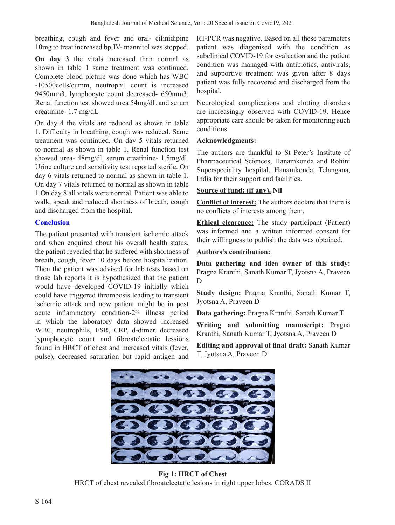breathing, cough and fever and oral- cilinidipine 10mg to treat increased bp,IV- mannitol was stopped.

**On day 3** the vitals increased than normal as shown in table 1 same treatment was continued. Complete blood picture was done which has WBC -10500cells/cumm, neutrophil count is increased 9450mm3, lymphocyte count decreased- 650mm3. Renal function test showed urea 54mg/dL and serum creatinine- 1.7 mg/dL

On day 4 the vitals are reduced as shown in table 1. Difficulty in breathing, cough was reduced. Same treatment was continued. On day 5 vitals returned to normal as shown in table 1. Renal function test showed urea- 48mg/dl, serum creatinine- 1.5mg/dl. Urine culture and sensitivity test reported sterile. On day 6 vitals returned to normal as shown in table 1. On day 7 vitals returned to normal as shown in table 1.On day 8 all vitals were normal. Patient was able to walk, speak and reduced shortness of breath, cough and discharged from the hospital.

# **Conclusion**

The patient presented with transient ischemic attack and when enquired about his overall health status, the patient revealed that he suffered with shortness of breath, cough, fever 10 days before hospitalization. Then the patient was advised for lab tests based on those lab reports it is hypothesized that the patient would have developed COVID-19 initially which could have triggered thrombosis leading to transient ischemic attack and now patient might be in post acute inflammatory condition-2nd illness period in which the laboratory data showed increased WBC, neutrophils, ESR, CRP, d-dimer. decreased lypmphocyte count and fibroatelectatic lessions found in HRCT of chest and increased vitals (fever, pulse), decreased saturation but rapid antigen and

RT-PCR was negative. Based on all these parameters patient was diagonised with the condition as subclinical COVID-19 for evaluation and the patient condition was managed with antibiotics, antivirals, and supportive treatment was given after 8 days patient was fully recovered and discharged from the hospital.

Neurological complications and clotting disorders are increasingly observed with COVID-19. Hence appropriate care should be taken for monitoring such conditions.

# **Acknowledgments:**

The authors are thankful to St Peter's Institute of Pharmaceutical Sciences, Hanamkonda and Rohini Superspeciality hospital, Hanamkonda, Telangana, India for their support and facilities.

# **Source of fund: (if any). Nil**

**Conflict of interest:** The authors declare that there is no conflicts of interests among them.

**Ethical clearence:** The study participant (Patient) was informed and a written informed consent for their willingness to publish the data was obtained.

## **Authors's contribution:**

**Data gathering and idea owner of this study:**  Pragna Kranthi, Sanath Kumar T, Jyotsna A, Praveen D

**Study design:** Pragna Kranthi, Sanath Kumar T, Jyotsna A, Praveen D

**Data gathering:** Pragna Kranthi, Sanath Kumar T

**Writing and submitting manuscript:** Pragna Kranthi, Sanath Kumar T, Jyotsna A, Praveen D

**Editing and approval of final draft:** Sanath Kumar T, Jyotsna A, Praveen D



**Fig 1: HRCT of Chest** HRCT of chest revealed fibroatelectatic lesions in right upper lobes. CORADS II